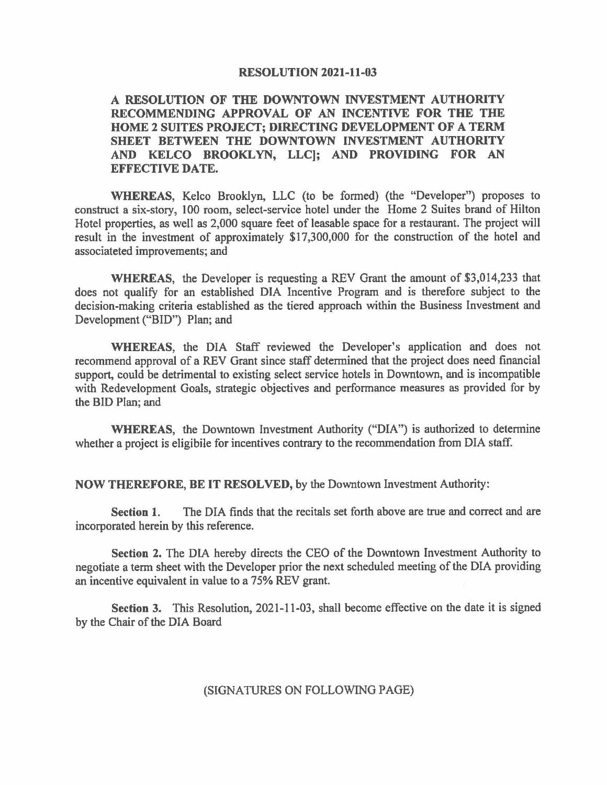## **RESOLUTION 2021-11-03**

## **A RESOLUTION OF THE DOWNTOWN INVESTMENT AUTHORITY RECOMMENDING APPROVAL OF AN INCENTIVE FOR THE THE HOME 2 SUITES PROJECT; DIRECTING DEVELOPMENT OF A TERM SHEET BETWEEN THE DOWNTOWN INVESTMENT AUTHORITY AND KELCO BROOKLYN, LLC); AND PROVIDING FOR AN EFFECTIVE DATE.**

**WHEREAS,** Kelco Brooklyn, LLC (to be fanned) (the "Developer") proposes to construct a six-story, 100 room, select-service hotel under the Home 2 Suites brand of Hilton Hotel properties, as well as 2,000 square feet of leasable space for a restaurant. The project will result in the investment of approximately \$17,300,000 for the construction of the hotel and associateted improvements; and

**WHEREAS,** the Developer is requesting a REV Grant the amount of \$3,014,233 that does not qualify for an established DIA Incentive Program and is therefore subject to the decision-making criteria established as the tiered approach within the Business Investment and Development ("BID") Plan; and

**WHEREAS,** the DIA Staff reviewed the Developer's application and does not recommend approval of a REV Grant since staff determined that the project does need financial support, could be detrimental to existing select service hotels in Downtown, and is incompatible with Redevelopment Goals, strategic objectives and performance measures as provided for by the BID Plan; and

**WHEREAS,** the Downtown Investment Authority ("DIA") is authorized to determine whether a project is eligibile for incentives contrary to the recommendation from DIA staff.

**NOW THEREFORE, BE IT RESOLVED,** by the Downtown Investment Authority:

**Section 1.** The DIA finds that the recitals set forth above are true and correct and are incorporated herein by this reference.

**Section 2.** The DIA hereby directs the CEO of the Downtown Investment Authority to negotiate a term sheet with the Developer prior the next scheduled meeting of the DIA providing an incentive equivalent in value to a 75% REV grant.

**Section 3.** This Resolution, 2021-11-03, shall become effective on the date it is signed by the Chair of the DIA Board

(SIGNATURES ON FOLLOWING PAGE)